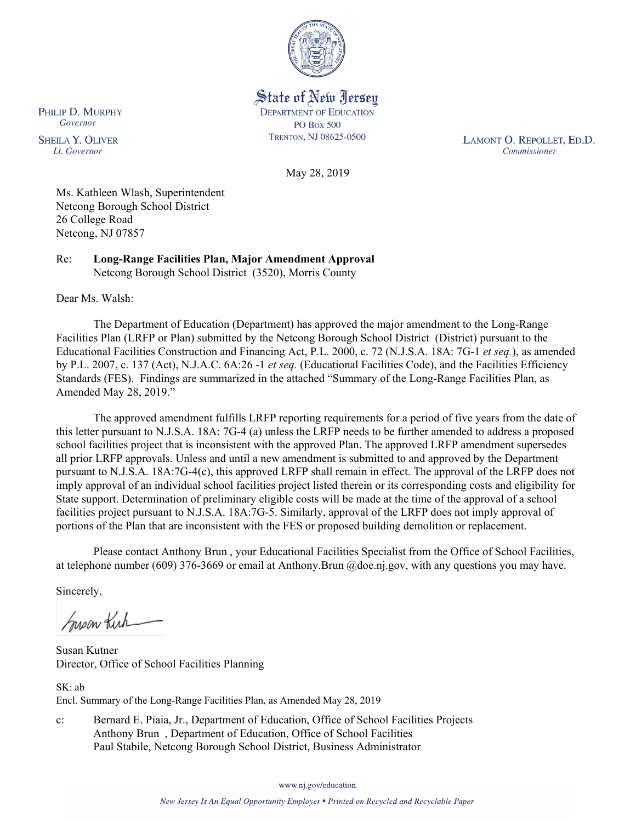

State of New Jersey **DEPARTMENT OF EDUCATION PO Box 500** TRENTON, NJ 08625-0500

LAMONT O. REPOLLET, ED.D. Commissioner

May 28, 2019

Ms. Kathleen Wlash, Superintendent Netcong Borough School District 26 College Road Netcong, NJ 07857

Re: **Long-Range Facilities Plan, Major Amendment Approval** Netcong Borough School District (3520), Morris County

Dear Ms. Walsh:

The Department of Education (Department) has approved the major amendment to the Long-Range Facilities Plan (LRFP or Plan) submitted by the Netcong Borough School District (District) pursuant to the Educational Facilities Construction and Financing Act, P.L. 2000, c. 72 (N.J.S.A. 18A: 7G-1 *et seq.*), as amended by P.L. 2007, c. 137 (Act), N.J.A.C. 6A:26 -1 *et seq.* (Educational Facilities Code), and the Facilities Efficiency Standards (FES). Findings are summarized in the attached "Summary of the Long-Range Facilities Plan, as Amended May 28, 2019."

The approved amendment fulfills LRFP reporting requirements for a period of five years from the date of this letter pursuant to N.J.S.A. 18A: 7G-4 (a) unless the LRFP needs to be further amended to address a proposed school facilities project that is inconsistent with the approved Plan. The approved LRFP amendment supersedes all prior LRFP approvals. Unless and until a new amendment is submitted to and approved by the Department pursuant to N.J.S.A. 18A:7G-4(c), this approved LRFP shall remain in effect. The approval of the LRFP does not imply approval of an individual school facilities project listed therein or its corresponding costs and eligibility for State support. Determination of preliminary eligible costs will be made at the time of the approval of a school facilities project pursuant to N.J.S.A. 18A:7G-5. Similarly, approval of the LRFP does not imply approval of portions of the Plan that are inconsistent with the FES or proposed building demolition or replacement.

Please contact Anthony Brun , your Educational Facilities Specialist from the Office of School Facilities, at telephone number (609) 376-3669 or email at Anthony.Brun @doe.nj.gov, with any questions you may have.

Sincerely,

Super Kick

Susan Kutner Director, Office of School Facilities Planning

SK: ab Encl. Summary of the Long-Range Facilities Plan, as Amended May 28, 2019

c: Bernard E. Piaia, Jr., Department of Education, Office of School Facilities Projects Anthony Brun , Department of Education, Office of School Facilities Paul Stabile, Netcong Borough School District, Business Administrator

www.nj.gov/education

New Jersey Is An Equal Opportunity Employer . Printed on Recycled and Recyclable Paper

PHILIP D. MURPHY Governor

**SHEILA Y. OLIVER** Lt. Governor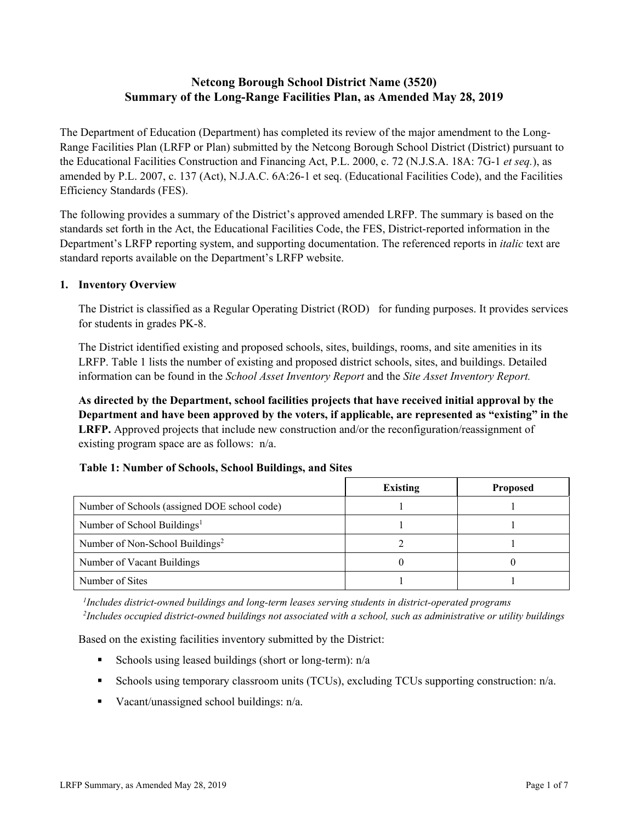# **Netcong Borough School District Name (3520) Summary of the Long-Range Facilities Plan, as Amended May 28, 2019**

The Department of Education (Department) has completed its review of the major amendment to the Long-Range Facilities Plan (LRFP or Plan) submitted by the Netcong Borough School District (District) pursuant to the Educational Facilities Construction and Financing Act, P.L. 2000, c. 72 (N.J.S.A. 18A: 7G-1 *et seq.*), as amended by P.L. 2007, c. 137 (Act), N.J.A.C. 6A:26-1 et seq. (Educational Facilities Code), and the Facilities Efficiency Standards (FES).

The following provides a summary of the District's approved amended LRFP. The summary is based on the standards set forth in the Act, the Educational Facilities Code, the FES, District-reported information in the Department's LRFP reporting system, and supporting documentation. The referenced reports in *italic* text are standard reports available on the Department's LRFP website.

### **1. Inventory Overview**

The District is classified as a Regular Operating District (ROD) for funding purposes. It provides services for students in grades PK-8.

The District identified existing and proposed schools, sites, buildings, rooms, and site amenities in its LRFP. Table 1 lists the number of existing and proposed district schools, sites, and buildings. Detailed information can be found in the *School Asset Inventory Report* and the *Site Asset Inventory Report.*

**As directed by the Department, school facilities projects that have received initial approval by the Department and have been approved by the voters, if applicable, are represented as "existing" in the LRFP.** Approved projects that include new construction and/or the reconfiguration/reassignment of existing program space are as follows: n/a.

### **Table 1: Number of Schools, School Buildings, and Sites**

|                                              | <b>Existing</b> | <b>Proposed</b> |
|----------------------------------------------|-----------------|-----------------|
| Number of Schools (assigned DOE school code) |                 |                 |
| Number of School Buildings <sup>1</sup>      |                 |                 |
| Number of Non-School Buildings <sup>2</sup>  |                 |                 |
| Number of Vacant Buildings                   |                 |                 |
| Number of Sites                              |                 |                 |

*1 Includes district-owned buildings and long-term leases serving students in district-operated programs 2 Includes occupied district-owned buildings not associated with a school, such as administrative or utility buildings*

Based on the existing facilities inventory submitted by the District:

- Schools using leased buildings (short or long-term):  $n/a$
- Schools using temporary classroom units (TCUs), excluding TCUs supporting construction: n/a.
- Vacant/unassigned school buildings:  $n/a$ .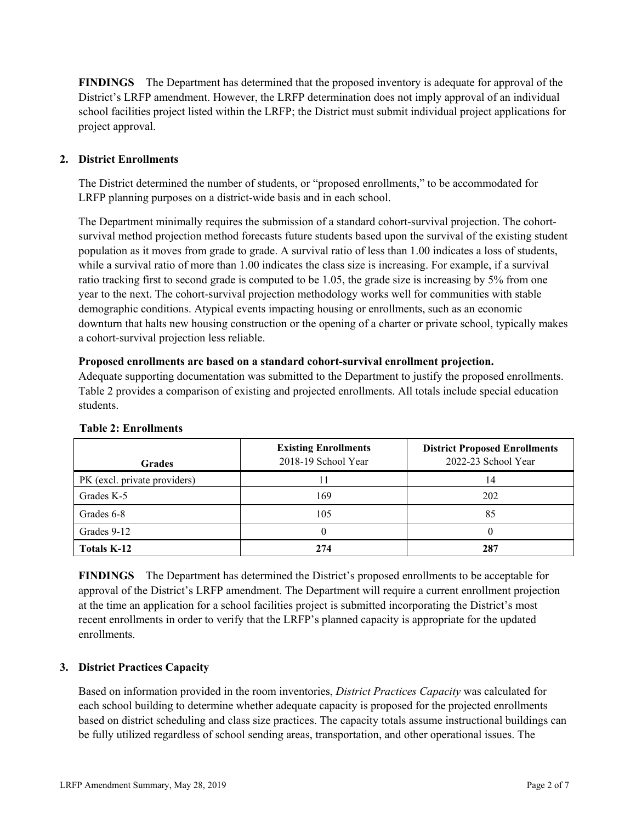**FINDINGS** The Department has determined that the proposed inventory is adequate for approval of the District's LRFP amendment. However, the LRFP determination does not imply approval of an individual school facilities project listed within the LRFP; the District must submit individual project applications for project approval.

# **2. District Enrollments**

The District determined the number of students, or "proposed enrollments," to be accommodated for LRFP planning purposes on a district-wide basis and in each school.

The Department minimally requires the submission of a standard cohort-survival projection. The cohortsurvival method projection method forecasts future students based upon the survival of the existing student population as it moves from grade to grade. A survival ratio of less than 1.00 indicates a loss of students, while a survival ratio of more than 1.00 indicates the class size is increasing. For example, if a survival ratio tracking first to second grade is computed to be 1.05, the grade size is increasing by 5% from one year to the next. The cohort-survival projection methodology works well for communities with stable demographic conditions. Atypical events impacting housing or enrollments, such as an economic downturn that halts new housing construction or the opening of a charter or private school, typically makes a cohort-survival projection less reliable.

#### **Proposed enrollments are based on a standard cohort-survival enrollment projection.**

Adequate supporting documentation was submitted to the Department to justify the proposed enrollments. Table 2 provides a comparison of existing and projected enrollments. All totals include special education students.

| <b>Grades</b>                | <b>Existing Enrollments</b><br>2018-19 School Year | <b>District Proposed Enrollments</b><br>2022-23 School Year |
|------------------------------|----------------------------------------------------|-------------------------------------------------------------|
| PK (excl. private providers) |                                                    | 14                                                          |
| Grades K-5                   | 169                                                | 202                                                         |
| Grades 6-8                   | 105                                                | 85                                                          |
| Grades 9-12                  |                                                    |                                                             |
| Totals K-12                  | 274                                                | 287                                                         |

#### **Table 2: Enrollments**

**FINDINGS** The Department has determined the District's proposed enrollments to be acceptable for approval of the District's LRFP amendment. The Department will require a current enrollment projection at the time an application for a school facilities project is submitted incorporating the District's most recent enrollments in order to verify that the LRFP's planned capacity is appropriate for the updated enrollments.

# **3. District Practices Capacity**

Based on information provided in the room inventories, *District Practices Capacity* was calculated for each school building to determine whether adequate capacity is proposed for the projected enrollments based on district scheduling and class size practices. The capacity totals assume instructional buildings can be fully utilized regardless of school sending areas, transportation, and other operational issues. The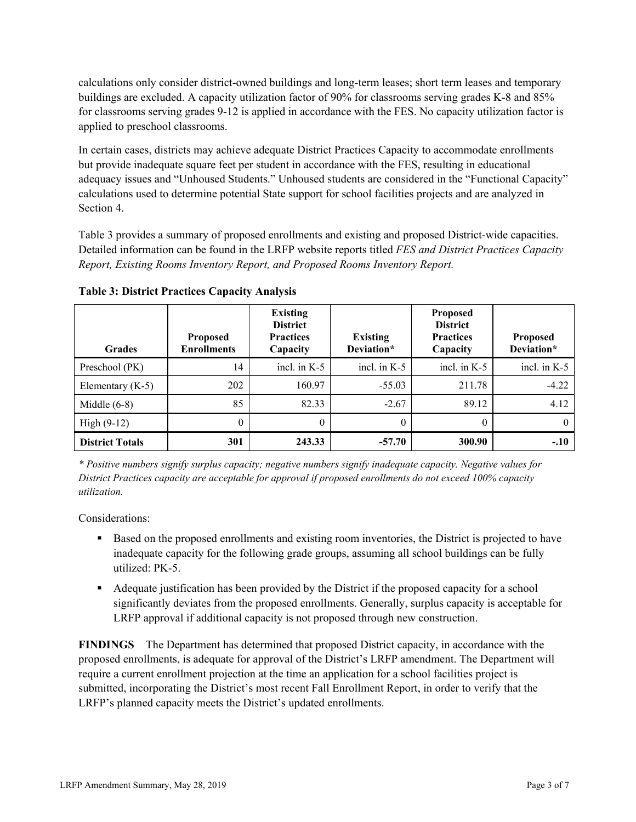calculations only consider district-owned buildings and long-term leases; short term leases and temporary buildings are excluded. A capacity utilization factor of 90% for classrooms serving grades K-8 and 85% for classrooms serving grades 9-12 is applied in accordance with the FES. No capacity utilization factor is applied to preschool classrooms.

In certain cases, districts may achieve adequate District Practices Capacity to accommodate enrollments but provide inadequate square feet per student in accordance with the FES, resulting in educational adequacy issues and "Unhoused Students." Unhoused students are considered in the "Functional Capacity" calculations used to determine potential State support for school facilities projects and are analyzed in Section 4.

Table 3 provides a summary of proposed enrollments and existing and proposed District-wide capacities. Detailed information can be found in the LRFP website reports titled *FES and District Practices Capacity Report, Existing Rooms Inventory Report, and Proposed Rooms Inventory Report.*

| <b>Grades</b>          | <b>Proposed</b><br><b>Enrollments</b> | <b>Existing</b><br><b>District</b><br><b>Practices</b><br>Capacity | <b>Existing</b><br>Deviation* | <b>Proposed</b><br><b>District</b><br><b>Practices</b><br>Capacity | <b>Proposed</b><br>Deviation* |
|------------------------|---------------------------------------|--------------------------------------------------------------------|-------------------------------|--------------------------------------------------------------------|-------------------------------|
| Preschool (PK)         | 14                                    | incl. in $K-5$                                                     | incl. in $K-5$                | incl. in $K-5$                                                     | incl. in K-5                  |
| Elementary $(K-5)$     | 202                                   | 160.97                                                             | $-55.03$                      | 211.78                                                             | $-4.22$                       |
| Middle $(6-8)$         | 85                                    | 82.33                                                              | $-2.67$                       | 89.12                                                              | 4.12                          |
| High $(9-12)$          | $\theta$                              | $\theta$                                                           | $\theta$                      | 0                                                                  |                               |
| <b>District Totals</b> | 301                                   | 243.33                                                             | $-57.70$                      | 300.90                                                             | $-.10$                        |

**Table 3: District Practices Capacity Analysis**

*\* Positive numbers signify surplus capacity; negative numbers signify inadequate capacity. Negative values for District Practices capacity are acceptable for approval if proposed enrollments do not exceed 100% capacity utilization.*

Considerations:

- Based on the proposed enrollments and existing room inventories, the District is projected to have inadequate capacity for the following grade groups, assuming all school buildings can be fully utilized: PK-5.
- Adequate justification has been provided by the District if the proposed capacity for a school significantly deviates from the proposed enrollments. Generally, surplus capacity is acceptable for LRFP approval if additional capacity is not proposed through new construction.

**FINDINGS**The Department has determined that proposed District capacity, in accordance with the proposed enrollments, is adequate for approval of the District's LRFP amendment. The Department will require a current enrollment projection at the time an application for a school facilities project is submitted, incorporating the District's most recent Fall Enrollment Report, in order to verify that the LRFP's planned capacity meets the District's updated enrollments.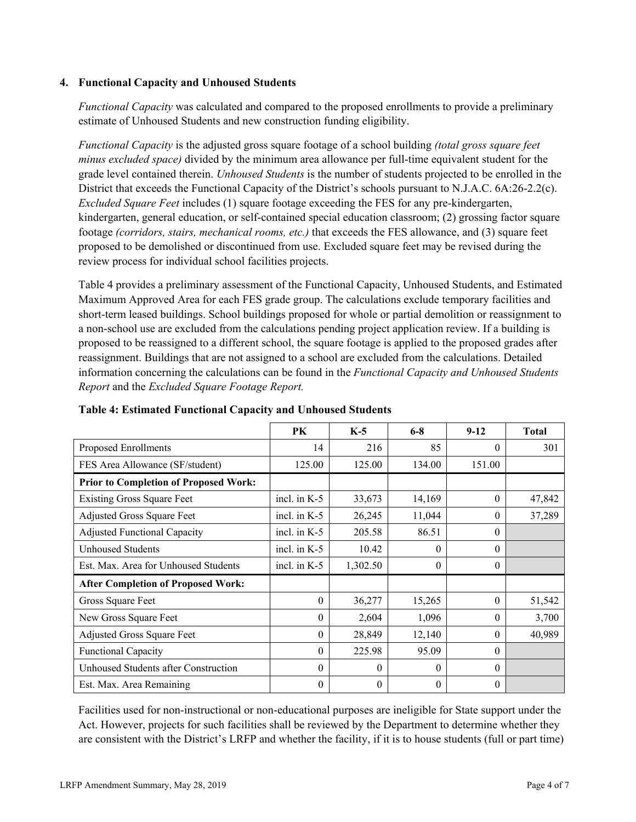### **4. Functional Capacity and Unhoused Students**

*Functional Capacity* was calculated and compared to the proposed enrollments to provide a preliminary estimate of Unhoused Students and new construction funding eligibility.

*Functional Capacity* is the adjusted gross square footage of a school building *(total gross square feet minus excluded space)* divided by the minimum area allowance per full-time equivalent student for the grade level contained therein. *Unhoused Students* is the number of students projected to be enrolled in the District that exceeds the Functional Capacity of the District's schools pursuant to N.J.A.C. 6A:26-2.2(c). *Excluded Square Feet* includes (1) square footage exceeding the FES for any pre-kindergarten, kindergarten, general education, or self-contained special education classroom; (2) grossing factor square footage *(corridors, stairs, mechanical rooms, etc.)* that exceeds the FES allowance, and (3) square feet proposed to be demolished or discontinued from use. Excluded square feet may be revised during the review process for individual school facilities projects.

Table 4 provides a preliminary assessment of the Functional Capacity, Unhoused Students, and Estimated Maximum Approved Area for each FES grade group. The calculations exclude temporary facilities and short-term leased buildings. School buildings proposed for whole or partial demolition or reassignment to a non-school use are excluded from the calculations pending project application review. If a building is proposed to be reassigned to a different school, the square footage is applied to the proposed grades after reassignment. Buildings that are not assigned to a school are excluded from the calculations. Detailed information concerning the calculations can be found in the *Functional Capacity and Unhoused Students Report* and the *Excluded Square Footage Report.*

|                                              | PK             | $K-5$    | $6 - 8$  | $9-12$   | <b>Total</b> |
|----------------------------------------------|----------------|----------|----------|----------|--------------|
| Proposed Enrollments                         | 14             | 216      | 85       | $\theta$ | 301          |
| FES Area Allowance (SF/student)              | 125.00         | 125.00   | 134.00   | 151.00   |              |
| <b>Prior to Completion of Proposed Work:</b> |                |          |          |          |              |
| <b>Existing Gross Square Feet</b>            | incl. in $K-5$ | 33,673   | 14,169   | $\theta$ | 47,842       |
| Adjusted Gross Square Feet                   | incl. in $K-5$ | 26,245   | 11,044   | $\theta$ | 37,289       |
| <b>Adjusted Functional Capacity</b>          | incl. in $K-5$ | 205.58   | 86.51    | $\Omega$ |              |
| <b>Unhoused Students</b>                     | incl. in $K-5$ | 10.42    | 0        | $\theta$ |              |
| Est. Max. Area for Unhoused Students         | incl. in $K-5$ | 1,302.50 | $\theta$ | $\theta$ |              |
| <b>After Completion of Proposed Work:</b>    |                |          |          |          |              |
| Gross Square Feet                            | $\theta$       | 36,277   | 15,265   | $\theta$ | 51,542       |
| New Gross Square Feet                        | 0              | 2,604    | 1,096    | $\Omega$ | 3,700        |
| Adjusted Gross Square Feet                   | 0              | 28,849   | 12,140   | $\Omega$ | 40,989       |
| <b>Functional Capacity</b>                   | 0              | 225.98   | 95.09    | $\theta$ |              |
| Unhoused Students after Construction         | 0              | $\theta$ | $\Omega$ | $\theta$ |              |
| Est. Max. Area Remaining                     | 0              | $\theta$ | 0        | $\theta$ |              |

**Table 4: Estimated Functional Capacity and Unhoused Students** 

Facilities used for non-instructional or non-educational purposes are ineligible for State support under the Act. However, projects for such facilities shall be reviewed by the Department to determine whether they are consistent with the District's LRFP and whether the facility, if it is to house students (full or part time)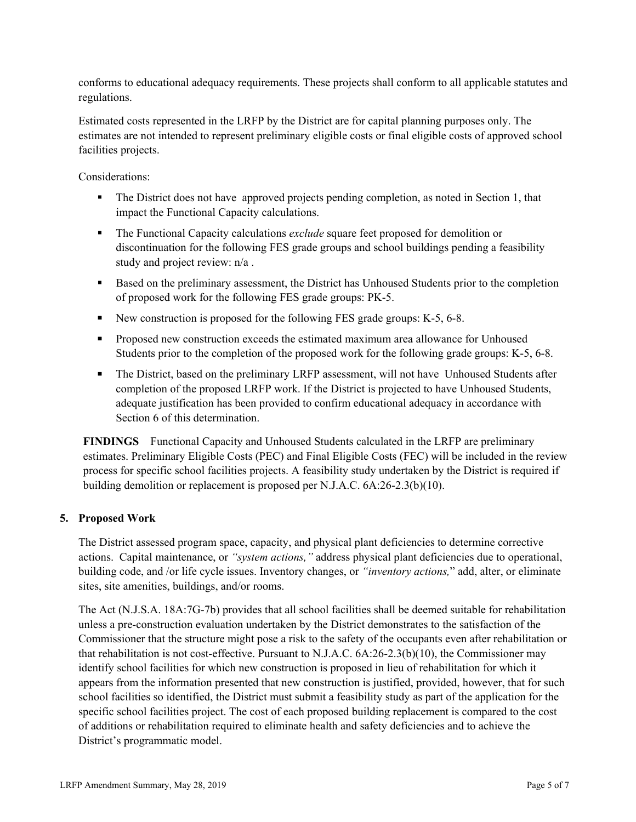conforms to educational adequacy requirements. These projects shall conform to all applicable statutes and regulations.

Estimated costs represented in the LRFP by the District are for capital planning purposes only. The estimates are not intended to represent preliminary eligible costs or final eligible costs of approved school facilities projects.

Considerations:

- The District does not have approved projects pending completion, as noted in Section 1, that impact the Functional Capacity calculations.
- **The Functional Capacity calculations** *exclude* square feet proposed for demolition or discontinuation for the following FES grade groups and school buildings pending a feasibility study and project review: n/a .
- Based on the preliminary assessment, the District has Unhoused Students prior to the completion of proposed work for the following FES grade groups: PK-5.
- New construction is proposed for the following FES grade groups: K-5, 6-8.
- **Proposed new construction exceeds the estimated maximum area allowance for Unhoused** Students prior to the completion of the proposed work for the following grade groups: K-5, 6-8.
- The District, based on the preliminary LRFP assessment, will not have Unhoused Students after completion of the proposed LRFP work. If the District is projected to have Unhoused Students, adequate justification has been provided to confirm educational adequacy in accordance with Section 6 of this determination.

**FINDINGS** Functional Capacity and Unhoused Students calculated in the LRFP are preliminary estimates. Preliminary Eligible Costs (PEC) and Final Eligible Costs (FEC) will be included in the review process for specific school facilities projects. A feasibility study undertaken by the District is required if building demolition or replacement is proposed per N.J.A.C. 6A:26-2.3(b)(10).

# **5. Proposed Work**

The District assessed program space, capacity, and physical plant deficiencies to determine corrective actions. Capital maintenance, or *"system actions,"* address physical plant deficiencies due to operational, building code, and /or life cycle issues. Inventory changes, or *"inventory actions,*" add, alter, or eliminate sites, site amenities, buildings, and/or rooms.

The Act (N.J.S.A. 18A:7G-7b) provides that all school facilities shall be deemed suitable for rehabilitation unless a pre-construction evaluation undertaken by the District demonstrates to the satisfaction of the Commissioner that the structure might pose a risk to the safety of the occupants even after rehabilitation or that rehabilitation is not cost-effective. Pursuant to N.J.A.C. 6A:26-2.3(b)(10), the Commissioner may identify school facilities for which new construction is proposed in lieu of rehabilitation for which it appears from the information presented that new construction is justified, provided, however, that for such school facilities so identified, the District must submit a feasibility study as part of the application for the specific school facilities project. The cost of each proposed building replacement is compared to the cost of additions or rehabilitation required to eliminate health and safety deficiencies and to achieve the District's programmatic model.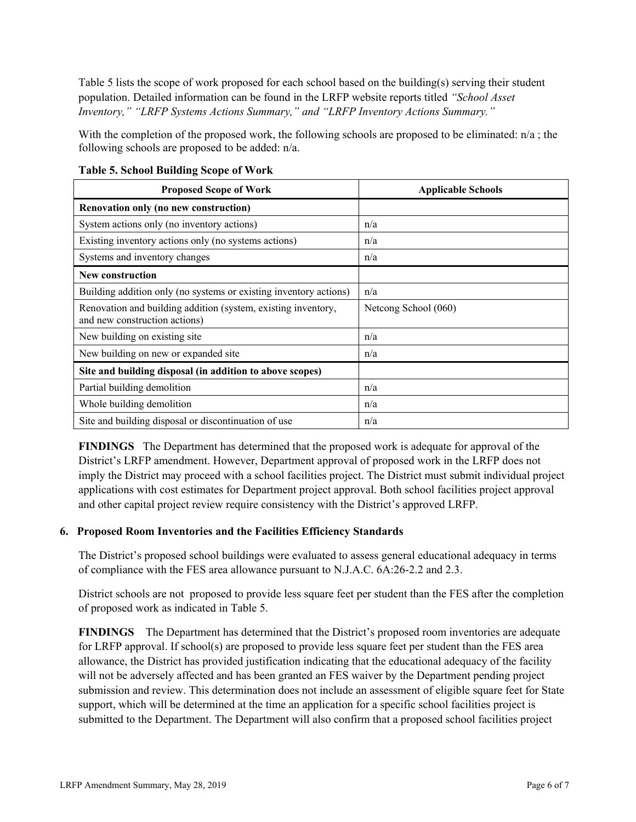Table 5 lists the scope of work proposed for each school based on the building(s) serving their student population. Detailed information can be found in the LRFP website reports titled *"School Asset Inventory," "LRFP Systems Actions Summary," and "LRFP Inventory Actions Summary."*

With the completion of the proposed work, the following schools are proposed to be eliminated:  $n/a$ ; the following schools are proposed to be added: n/a.

| <b>Proposed Scope of Work</b>                                                                  | <b>Applicable Schools</b> |
|------------------------------------------------------------------------------------------------|---------------------------|
| Renovation only (no new construction)                                                          |                           |
| System actions only (no inventory actions)                                                     | n/a                       |
| Existing inventory actions only (no systems actions)                                           | n/a                       |
| Systems and inventory changes                                                                  | n/a                       |
| New construction                                                                               |                           |
| Building addition only (no systems or existing inventory actions)                              | n/a                       |
| Renovation and building addition (system, existing inventory,<br>and new construction actions) | Netcong School (060)      |
| New building on existing site                                                                  | n/a                       |
| New building on new or expanded site                                                           | n/a                       |
| Site and building disposal (in addition to above scopes)                                       |                           |
| Partial building demolition                                                                    | n/a                       |
| Whole building demolition                                                                      | n/a                       |
| Site and building disposal or discontinuation of use                                           | n/a                       |

**Table 5. School Building Scope of Work**

**FINDINGS** The Department has determined that the proposed work is adequate for approval of the District's LRFP amendment. However, Department approval of proposed work in the LRFP does not imply the District may proceed with a school facilities project. The District must submit individual project applications with cost estimates for Department project approval. Both school facilities project approval and other capital project review require consistency with the District's approved LRFP.

# **6. Proposed Room Inventories and the Facilities Efficiency Standards**

The District's proposed school buildings were evaluated to assess general educational adequacy in terms of compliance with the FES area allowance pursuant to N.J.A.C. 6A:26-2.2 and 2.3.

District schools are not proposed to provide less square feet per student than the FES after the completion of proposed work as indicated in Table 5.

**FINDINGS** The Department has determined that the District's proposed room inventories are adequate for LRFP approval. If school(s) are proposed to provide less square feet per student than the FES area allowance, the District has provided justification indicating that the educational adequacy of the facility will not be adversely affected and has been granted an FES waiver by the Department pending project submission and review. This determination does not include an assessment of eligible square feet for State support, which will be determined at the time an application for a specific school facilities project is submitted to the Department. The Department will also confirm that a proposed school facilities project